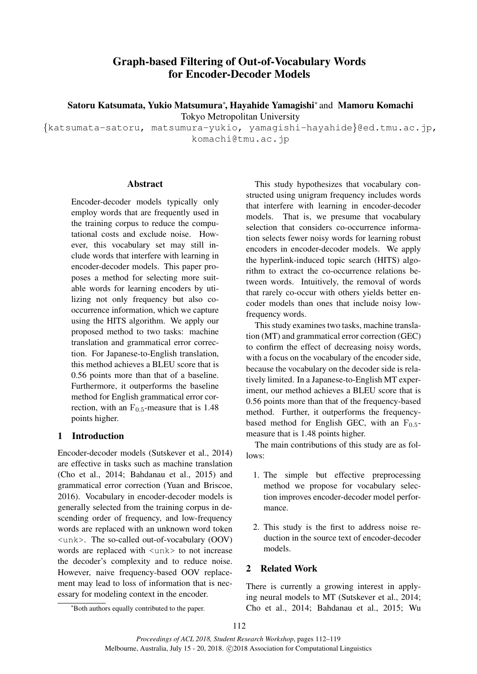# Graph-based Filtering of Out-of-Vocabulary Words for Encoder-Decoder Models

Satoru Katsumata, Yukio Matsumura*<sup>∗</sup>* , Hayahide Yamagishi*<sup>∗</sup>* and Mamoru Komachi Tokyo Metropolitan University

*{*katsumata-satoru, matsumura-yukio, yamagishi-hayahide*}*@ed.tmu.ac.jp, komachi@tmu.ac.jp

## Abstract

Encoder-decoder models typically only employ words that are frequently used in the training corpus to reduce the computational costs and exclude noise. However, this vocabulary set may still include words that interfere with learning in encoder-decoder models. This paper proposes a method for selecting more suitable words for learning encoders by utilizing not only frequency but also cooccurrence information, which we capture using the HITS algorithm. We apply our proposed method to two tasks: machine translation and grammatical error correction. For Japanese-to-English translation, this method achieves a BLEU score that is 0.56 points more than that of a baseline. Furthermore, it outperforms the baseline method for English grammatical error correction, with an  $F_{0.5}$ -measure that is 1.48 points higher.

# 1 Introduction

Encoder-decoder models (Sutskever et al., 2014) are effective in tasks such as machine translation (Cho et al., 2014; Bahdanau et al., 2015) and grammatical error correction (Yuan and Briscoe, 2016). Vocabulary in encoder-decoder models is generally selected from the training corpus in descending order of frequency, and low-frequency words are replaced with an unknown word token <unk>. The so-called out-of-vocabulary (OOV) words are replaced with  $\langle$ unk $\rangle$  to not increase the decoder's complexity and to reduce noise. However, naive frequency-based OOV replacement may lead to loss of information that is necessary for modeling context in the encoder.

This study hypothesizes that vocabulary constructed using unigram frequency includes words that interfere with learning in encoder-decoder models. That is, we presume that vocabulary selection that considers co-occurrence information selects fewer noisy words for learning robust encoders in encoder-decoder models. We apply the hyperlink-induced topic search (HITS) algorithm to extract the co-occurrence relations between words. Intuitively, the removal of words that rarely co-occur with others yields better encoder models than ones that include noisy lowfrequency words.

This study examines two tasks, machine translation (MT) and grammatical error correction (GEC) to confirm the effect of decreasing noisy words, with a focus on the vocabulary of the encoder side, because the vocabulary on the decoder side is relatively limited. In a Japanese-to-English MT experiment, our method achieves a BLEU score that is 0.56 points more than that of the frequency-based method. Further, it outperforms the frequencybased method for English GEC, with an  $F_{0.5}$ measure that is 1.48 points higher.

The main contributions of this study are as follows:

- 1. The simple but effective preprocessing method we propose for vocabulary selection improves encoder-decoder model performance.
- 2. This study is the first to address noise reduction in the source text of encoder-decoder models.

## 2 Related Work

There is currently a growing interest in applying neural models to MT (Sutskever et al., 2014; Cho et al., 2014; Bahdanau et al., 2015; Wu

*<sup>∗</sup>*Both authors equally contributed to the paper.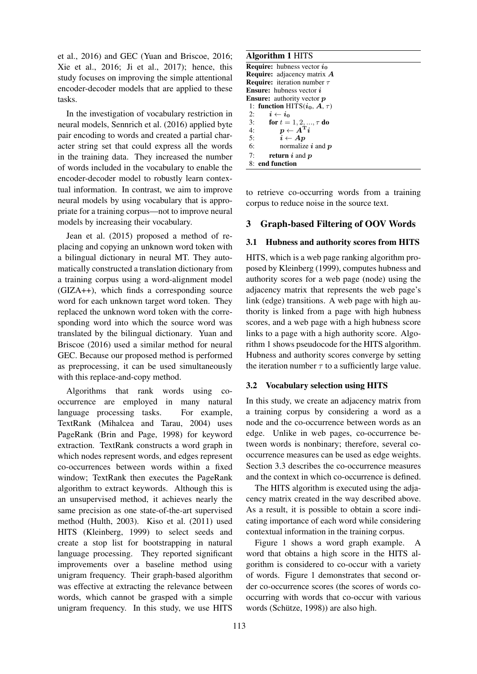et al., 2016) and GEC (Yuan and Briscoe, 2016; Xie et al., 2016; Ji et al., 2017); hence, this study focuses on improving the simple attentional encoder-decoder models that are applied to these tasks.

In the investigation of vocabulary restriction in neural models, Sennrich et al. (2016) applied byte pair encoding to words and created a partial character string set that could express all the words in the training data. They increased the number of words included in the vocabulary to enable the encoder-decoder model to robustly learn contextual information. In contrast, we aim to improve neural models by using vocabulary that is appropriate for a training corpus—not to improve neural models by increasing their vocabulary.

Jean et al. (2015) proposed a method of replacing and copying an unknown word token with a bilingual dictionary in neural MT. They automatically constructed a translation dictionary from a training corpus using a word-alignment model (GIZA++), which finds a corresponding source word for each unknown target word token. They replaced the unknown word token with the corresponding word into which the source word was translated by the bilingual dictionary. Yuan and Briscoe (2016) used a similar method for neural GEC. Because our proposed method is performed as preprocessing, it can be used simultaneously with this replace-and-copy method.

Algorithms that rank words using cooccurrence are employed in many natural language processing tasks. For example, TextRank (Mihalcea and Tarau, 2004) uses PageRank (Brin and Page, 1998) for keyword extraction. TextRank constructs a word graph in which nodes represent words, and edges represent co-occurrences between words within a fixed window; TextRank then executes the PageRank algorithm to extract keywords. Although this is an unsupervised method, it achieves nearly the same precision as one state-of-the-art supervised method (Hulth, 2003). Kiso et al. (2011) used HITS (Kleinberg, 1999) to select seeds and create a stop list for bootstrapping in natural language processing. They reported significant improvements over a baseline method using unigram frequency. Their graph-based algorithm was effective at extracting the relevance between words, which cannot be grasped with a simple unigram frequency. In this study, we use HITS

#### Algorithm 1 HITS

| <b>Require:</b> hubness vector $i_0$              |
|---------------------------------------------------|
| <b>Require:</b> adjacency matrix $\boldsymbol{A}$ |
| <b>Require:</b> iteration number $\tau$           |
| <b>Ensure:</b> hubness vector $i$                 |
| <b>Ensure:</b> authority vector p                 |
| 1: function HITS $(i_0, A, \tau)$                 |
| 2: $i \leftarrow i_0$                             |
| 3: for $t = 1, 2, , \tau$ do                      |
| 4: $p \leftarrow A^{\mathrm{T}} i$                |
| 5:<br>$i \leftarrow Ap$                           |
| 6:<br>normalize $i$ and $p$                       |
| 7:<br><b>return</b> $i$ and $p$                   |
| 8: end function                                   |
|                                                   |

to retrieve co-occurring words from a training corpus to reduce noise in the source text.

## 3 Graph-based Filtering of OOV Words

## 3.1 Hubness and authority scores from HITS

HITS, which is a web page ranking algorithm proposed by Kleinberg (1999), computes hubness and authority scores for a web page (node) using the adjacency matrix that represents the web page's link (edge) transitions. A web page with high authority is linked from a page with high hubness scores, and a web page with a high hubness score links to a page with a high authority score. Algorithm 1 shows pseudocode for the HITS algorithm. Hubness and authority scores converge by setting the iteration number  $\tau$  to a sufficiently large value.

## 3.2 Vocabulary selection using HITS

In this study, we create an adjacency matrix from a training corpus by considering a word as a node and the co-occurrence between words as an edge. Unlike in web pages, co-occurrence between words is nonbinary; therefore, several cooccurrence measures can be used as edge weights. Section 3.3 describes the co-occurrence measures and the context in which co-occurrence is defined.

The HITS algorithm is executed using the adjacency matrix created in the way described above. As a result, it is possible to obtain a score indicating importance of each word while considering contextual information in the training corpus.

Figure 1 shows a word graph example. A word that obtains a high score in the HITS algorithm is considered to co-occur with a variety of words. Figure 1 demonstrates that second order co-occurrence scores (the scores of words cooccurring with words that co-occur with various words (Schütze, 1998)) are also high.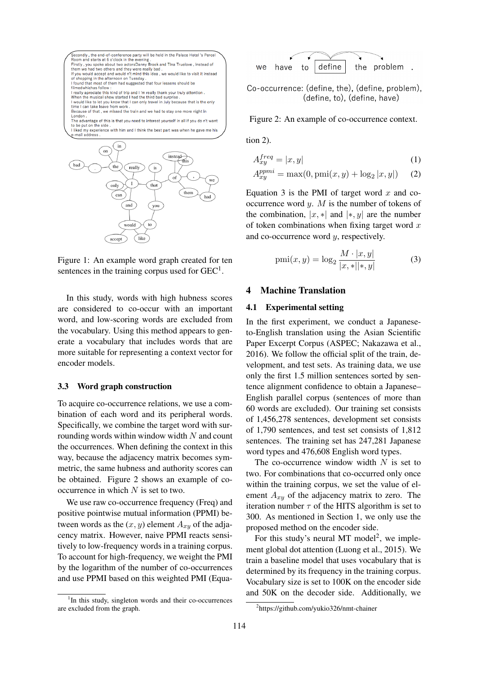

Figure 1: An example word graph created for ten sentences in the training corpus used for  $GEC<sup>1</sup>$ .

In this study, words with high hubness scores are considered to co-occur with an important word, and low-scoring words are excluded from the vocabulary. Using this method appears to generate a vocabulary that includes words that are more suitable for representing a context vector for encoder models.

#### 3.3 Word graph construction

To acquire co-occurrence relations, we use a combination of each word and its peripheral words. Specifically, we combine the target word with surrounding words within window width *N* and count the occurrences. When defining the context in this way, because the adjacency matrix becomes symmetric, the same hubness and authority scores can be obtained. Figure 2 shows an example of cooccurrence in which *N* is set to two.

We use raw co-occurrence frequency (Freq) and positive pointwise mutual information (PPMI) between words as the  $(x, y)$  element  $A_{xy}$  of the adjacency matrix. However, naive PPMI reacts sensitively to low-frequency words in a training corpus. To account for high-frequency, we weight the PMI by the logarithm of the number of co-occurrences and use PPMI based on this weighted PMI (Equa-



Co-occurrence: (define, the), (define, problem), (define, to), (define, have)

Figure 2: An example of co-occurrence context.

tion 2).

$$
A_{xy}^{freq} = |x, y| \tag{1}
$$

$$
A_{xy}^{ppmi} = \max(0, \text{pmi}(x, y) + \log_2 |x, y|)
$$
 (2)

Equation 3 is the PMI of target word *x* and cooccurrence word *y*. *M* is the number of tokens of the combination,  $|x, *|$  and  $|*, y|$  are the number of token combinations when fixing target word *x* and co-occurrence word *y*, respectively.

$$
pmi(x, y) = \log_2 \frac{M \cdot |x, y|}{|x, *||*, y|}
$$
 (3)

## 4 Machine Translation

#### 4.1 Experimental setting

In the first experiment, we conduct a Japaneseto-English translation using the Asian Scientific Paper Excerpt Corpus (ASPEC; Nakazawa et al., 2016). We follow the official split of the train, development, and test sets. As training data, we use only the first 1.5 million sentences sorted by sentence alignment confidence to obtain a Japanese– English parallel corpus (sentences of more than 60 words are excluded). Our training set consists of 1,456,278 sentences, development set consists of 1,790 sentences, and test set consists of 1,812 sentences. The training set has 247,281 Japanese word types and 476,608 English word types.

The co-occurrence window width *N* is set to two. For combinations that co-occurred only once within the training corpus, we set the value of element *Axy* of the adjacency matrix to zero. The iteration number  $\tau$  of the HITS algorithm is set to 300. As mentioned in Section 1, we only use the proposed method on the encoder side.

For this study's neural MT model<sup>2</sup>, we implement global dot attention (Luong et al., 2015). We train a baseline model that uses vocabulary that is determined by its frequency in the training corpus. Vocabulary size is set to 100K on the encoder side and 50K on the decoder side. Additionally, we

<sup>&</sup>lt;sup>1</sup>In this study, singleton words and their co-occurrences are excluded from the graph.

<sup>2</sup> https://github.com/yukio326/nmt-chainer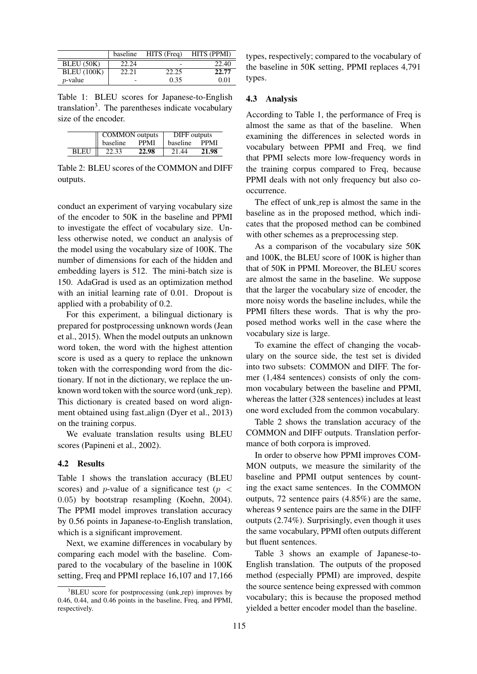|                    | baseline | HITS (Freq) | HITS (PPMI) |
|--------------------|----------|-------------|-------------|
| BLEU (50K)         | 22.24    | -           | 22.40       |
| <b>BLEU</b> (100K) | 22.21    | 22.25       | 22.77       |
| $p$ -value         | -        | 0.35        | 0.01        |

Table 1: BLEU scores for Japanese-to-English translation<sup>3</sup>. The parentheses indicate vocabulary size of the encoder.

|             | <b>COMMON</b> outputs |             | DIFF outputs    |       |
|-------------|-----------------------|-------------|-----------------|-------|
|             | baseline              | <b>PPMI</b> | <b>baseline</b> | PPMI  |
| <b>BLEU</b> | 22.33                 | 22.98       | 21.44           | 21.98 |

Table 2: BLEU scores of the COMMON and DIFF outputs.

conduct an experiment of varying vocabulary size of the encoder to 50K in the baseline and PPMI to investigate the effect of vocabulary size. Unless otherwise noted, we conduct an analysis of the model using the vocabulary size of 100K. The number of dimensions for each of the hidden and embedding layers is 512. The mini-batch size is 150. AdaGrad is used as an optimization method with an initial learning rate of 0.01. Dropout is applied with a probability of 0.2.

For this experiment, a bilingual dictionary is prepared for postprocessing unknown words (Jean et al., 2015). When the model outputs an unknown word token, the word with the highest attention score is used as a query to replace the unknown token with the corresponding word from the dictionary. If not in the dictionary, we replace the unknown word token with the source word (unk\_rep). This dictionary is created based on word alignment obtained using fast align (Dyer et al., 2013) on the training corpus.

We evaluate translation results using BLEU scores (Papineni et al., 2002).

## 4.2 Results

Table 1 shows the translation accuracy (BLEU scores) and *p*-value of a significance test (*p <* 0*.*05) by bootstrap resampling (Koehn, 2004). The PPMI model improves translation accuracy by 0.56 points in Japanese-to-English translation, which is a significant improvement.

Next, we examine differences in vocabulary by comparing each model with the baseline. Compared to the vocabulary of the baseline in 100K setting, Freq and PPMI replace 16,107 and 17,166 types, respectively; compared to the vocabulary of the baseline in 50K setting, PPMI replaces 4,791 types.

#### 4.3 Analysis

According to Table 1, the performance of Freq is almost the same as that of the baseline. When examining the differences in selected words in vocabulary between PPMI and Freq, we find that PPMI selects more low-frequency words in the training corpus compared to Freq, because PPMI deals with not only frequency but also cooccurrence.

The effect of unk\_rep is almost the same in the baseline as in the proposed method, which indicates that the proposed method can be combined with other schemes as a preprocessing step.

As a comparison of the vocabulary size 50K and 100K, the BLEU score of 100K is higher than that of 50K in PPMI. Moreover, the BLEU scores are almost the same in the baseline. We suppose that the larger the vocabulary size of encoder, the more noisy words the baseline includes, while the PPMI filters these words. That is why the proposed method works well in the case where the vocabulary size is large.

To examine the effect of changing the vocabulary on the source side, the test set is divided into two subsets: COMMON and DIFF. The former (1,484 sentences) consists of only the common vocabulary between the baseline and PPMI, whereas the latter (328 sentences) includes at least one word excluded from the common vocabulary.

Table 2 shows the translation accuracy of the COMMON and DIFF outputs. Translation performance of both corpora is improved.

In order to observe how PPMI improves COM-MON outputs, we measure the similarity of the baseline and PPMI output sentences by counting the exact same sentences. In the COMMON outputs, 72 sentence pairs (4.85%) are the same, whereas 9 sentence pairs are the same in the DIFF outputs (2.74%). Surprisingly, even though it uses the same vocabulary, PPMI often outputs different but fluent sentences.

Table 3 shows an example of Japanese-to-English translation. The outputs of the proposed method (especially PPMI) are improved, despite the source sentence being expressed with common vocabulary; this is because the proposed method yielded a better encoder model than the baseline.

<sup>&</sup>lt;sup>3</sup>BLEU score for postprocessing (unk\_rep) improves by 0.46, 0.44, and 0.46 points in the baseline, Freq, and PPMI, respectively.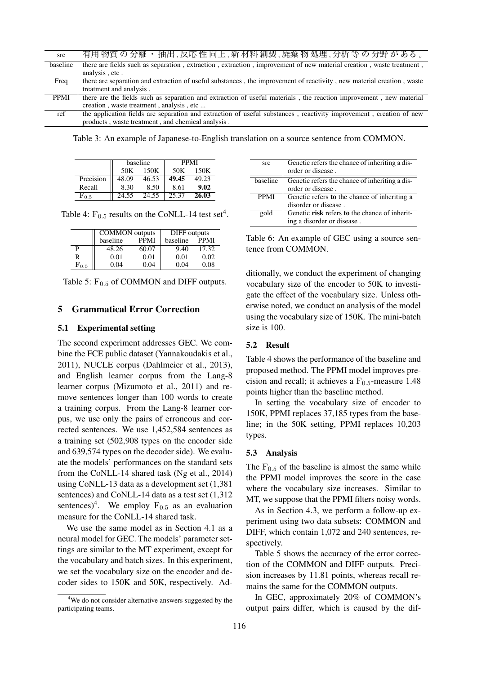| src      | 有用 物質 の 分離 ・ 抽出 ,反応 性 向上 ,新 材料 創製 ,廃棄 物 処理 ,分析 等 の 分野 が ある 。                                                          |
|----------|-----------------------------------------------------------------------------------------------------------------------|
| baseline | there are fields such as separation, extraction, extraction, improvement of new material creation, waste treatment,   |
|          | analysis, etc.                                                                                                        |
| Freq     | there are separation and extraction of useful substances, the improvement of reactivity, new material creation, waste |
|          | treatment and analysis.                                                                                               |
| PPMI     | there are the fields such as separation and extraction of useful materials, the reaction improvement, new material    |
|          | creation, waste treatment, analysis, etc                                                                              |
| ref      | the application fields are separation and extraction of useful substances, reactivity improvement, creation of new    |
|          | products, waste treatment, and chemical analysis.                                                                     |

Table 3: An example of Japanese-to-English translation on a source sentence from COMMON.

|           | baseline |       | <b>PPMI</b> |       |
|-----------|----------|-------|-------------|-------|
|           | 50K      | 150K  | 50K         | 150K  |
| Precision | 48.09    | 46.53 | 49.45       | 49.23 |
| Recall    | 8.30     | 8.50  | 8.61        | 9.02  |
|           | 24.55    | 24.55 | 25.37       | 26.03 |

Table 4:  $F_{0.5}$  results on the CoNLL-14 test set<sup>4</sup>.

|                | <b>COMMON</b> outputs |             | DIFF outputs |             |
|----------------|-----------------------|-------------|--------------|-------------|
|                | baseline              | <b>PPMI</b> | baseline     | <b>PPMI</b> |
| р              | 48.26                 | 60.07       | 9.40         | 17.32       |
| R              | 0.01                  | 0.01        | 0.01         | 0.02        |
| $\rm{F}_{0.5}$ | 0.04                  | 0.04        | 0.04         | 0.08        |

Table 5:  $F_{0.5}$  of COMMON and DIFF outputs.

#### 5 Grammatical Error Correction

## 5.1 Experimental setting

The second experiment addresses GEC. We combine the FCE public dataset (Yannakoudakis et al., 2011), NUCLE corpus (Dahlmeier et al., 2013), and English learner corpus from the Lang-8 learner corpus (Mizumoto et al., 2011) and remove sentences longer than 100 words to create a training corpus. From the Lang-8 learner corpus, we use only the pairs of erroneous and corrected sentences. We use 1,452,584 sentences as a training set (502,908 types on the encoder side and 639,574 types on the decoder side). We evaluate the models' performances on the standard sets from the CoNLL-14 shared task (Ng et al., 2014) using CoNLL-13 data as a development set (1,381 sentences) and CoNLL-14 data as a test set (1,312 sentences)<sup>4</sup>. We employ  $F_{0.5}$  as an evaluation measure for the CoNLL-14 shared task.

We use the same model as in Section 4.1 as a neural model for GEC. The models' parameter settings are similar to the MT experiment, except for the vocabulary and batch sizes. In this experiment, we set the vocabulary size on the encoder and decoder sides to 150K and 50K, respectively. Ad-

| src         | Genetic refers the chance of inheriting a dis- |
|-------------|------------------------------------------------|
|             | order or disease.                              |
| baseline    | Genetic refers the chance of inheriting a dis- |
|             | order or disease.                              |
| <b>PPMI</b> | Genetic refers to the chance of inheriting a   |
|             | disorder or disease.                           |
| gold        | Genetic risk refers to the chance of inherit-  |
|             | ing a disorder or disease.                     |
|             |                                                |

Table 6: An example of GEC using a source sentence from COMMON.

ditionally, we conduct the experiment of changing vocabulary size of the encoder to 50K to investigate the effect of the vocabulary size. Unless otherwise noted, we conduct an analysis of the model using the vocabulary size of 150K. The mini-batch size is 100.

## 5.2 Result

Table 4 shows the performance of the baseline and proposed method. The PPMI model improves precision and recall; it achieves a  $F<sub>0.5</sub>$ -measure 1.48 points higher than the baseline method.

In setting the vocabulary size of encoder to 150K, PPMI replaces 37,185 types from the baseline; in the 50K setting, PPMI replaces 10,203 types.

#### 5.3 Analysis

The  $F_{0.5}$  of the baseline is almost the same while the PPMI model improves the score in the case where the vocabulary size increases. Similar to MT, we suppose that the PPMI filters noisy words.

As in Section 4.3, we perform a follow-up experiment using two data subsets: COMMON and DIFF, which contain 1,072 and 240 sentences, respectively.

Table 5 shows the accuracy of the error correction of the COMMON and DIFF outputs. Precision increases by 11.81 points, whereas recall remains the same for the COMMON outputs.

In GEC, approximately 20% of COMMON's output pairs differ, which is caused by the dif-

<sup>&</sup>lt;sup>4</sup>We do not consider alternative answers suggested by the participating teams.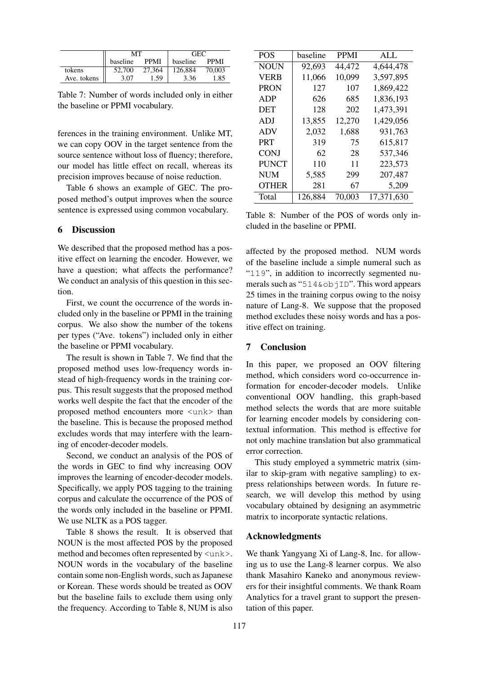|             | MТ       |             | <b>GEC</b> |             |
|-------------|----------|-------------|------------|-------------|
|             | baseline | <b>PPMI</b> | baseline   | <b>PPMI</b> |
| tokens      | 52,700   | 27.364      | 126.884    | 70,003      |
| Ave. tokens | 3.07     | 1.59        | 3.36       | 1.85        |

Table 7: Number of words included only in either the baseline or PPMI vocabulary.

ferences in the training environment. Unlike MT, we can copy OOV in the target sentence from the source sentence without loss of fluency; therefore, our model has little effect on recall, whereas its precision improves because of noise reduction.

Table 6 shows an example of GEC. The proposed method's output improves when the source sentence is expressed using common vocabulary.

#### 6 Discussion

We described that the proposed method has a positive effect on learning the encoder. However, we have a question; what affects the performance? We conduct an analysis of this question in this section.

First, we count the occurrence of the words included only in the baseline or PPMI in the training corpus. We also show the number of the tokens per types ("Ave. tokens") included only in either the baseline or PPMI vocabulary.

The result is shown in Table 7. We find that the proposed method uses low-frequency words instead of high-frequency words in the training corpus. This result suggests that the proposed method works well despite the fact that the encoder of the proposed method encounters more <unk> than the baseline. This is because the proposed method excludes words that may interfere with the learning of encoder-decoder models.

Second, we conduct an analysis of the POS of the words in GEC to find why increasing OOV improves the learning of encoder-decoder models. Specifically, we apply POS tagging to the training corpus and calculate the occurrence of the POS of the words only included in the baseline or PPMI. We use NLTK as a POS tagger.

Table 8 shows the result. It is observed that NOUN is the most affected POS by the proposed method and becomes often represented by  $\langle$ unk>. NOUN words in the vocabulary of the baseline contain some non-English words, such as Japanese or Korean. These words should be treated as OOV but the baseline fails to exclude them using only the frequency. According to Table 8, NUM is also

| <b>POS</b>   | baseline | <b>PPMI</b> | ALL        |
|--------------|----------|-------------|------------|
| <b>NOUN</b>  | 92.693   | 44.472      | 4,644,478  |
| VERB         | 11,066   | 10,099      | 3,597,895  |
| PRON         | 127      | 107         | 1,869,422  |
| ADP          | 626      | 685         | 1,836,193  |
| DET          | 128      | 202         | 1,473,391  |
| ADJ          | 13,855   | 12,270      | 1,429,056  |
| ADV          | 2,032    | 1,688       | 931,763    |
| <b>PRT</b>   | 319      | 75          | 615,817    |
| <b>CONI</b>  | 62       | 28          | 537.346    |
| <b>PUNCT</b> | 110      | 11          | 223,573    |
| NUM          | 5,585    | 299         | 207.487    |
| <b>OTHER</b> | 281      | 67          | 5,209      |
| Total        | 126.884  | 70,003      | 17.371.630 |

Table 8: Number of the POS of words only included in the baseline or PPMI.

affected by the proposed method. NUM words of the baseline include a simple numeral such as "119", in addition to incorrectly segmented numerals such as "514&objID". This word appears 25 times in the training corpus owing to the noisy nature of Lang-8. We suppose that the proposed method excludes these noisy words and has a positive effect on training.

# 7 Conclusion

In this paper, we proposed an OOV filtering method, which considers word co-occurrence information for encoder-decoder models. Unlike conventional OOV handling, this graph-based method selects the words that are more suitable for learning encoder models by considering contextual information. This method is effective for not only machine translation but also grammatical error correction.

This study employed a symmetric matrix (similar to skip-gram with negative sampling) to express relationships between words. In future research, we will develop this method by using vocabulary obtained by designing an asymmetric matrix to incorporate syntactic relations.

#### Acknowledgments

We thank Yangyang Xi of Lang-8, Inc. for allowing us to use the Lang-8 learner corpus. We also thank Masahiro Kaneko and anonymous reviewers for their insightful comments. We thank Roam Analytics for a travel grant to support the presentation of this paper.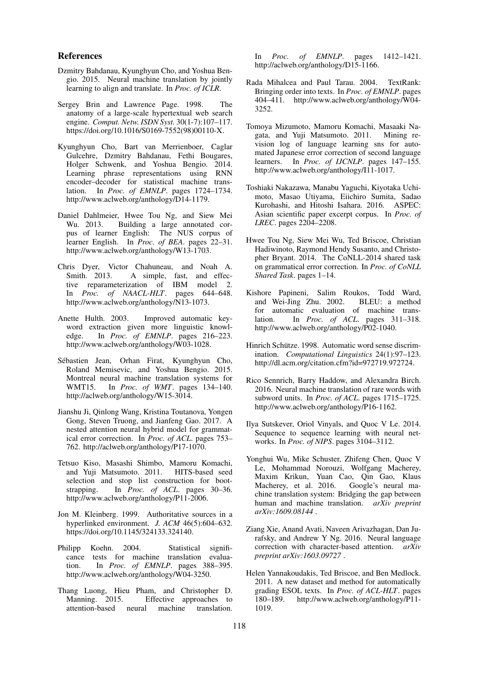#### References

- Dzmitry Bahdanau, Kyunghyun Cho, and Yoshua Bengio. 2015. Neural machine translation by jointly learning to align and translate. In *Proc. of ICLR*.
- Sergey Brin and Lawrence Page. 1998. The anatomy of a large-scale hypertextual web search engine. *Comput. Netw. ISDN Syst.* 30(1-7):107–117. https://doi.org/10.1016/S0169-7552(98)00110-X.
- Kyunghyun Cho, Bart van Merrienboer, Caglar Gulcehre, Dzmitry Bahdanau, Fethi Bougares, Holger Schwenk, and Yoshua Bengio. 2014. Learning phrase representations using RNN encoder–decoder for statistical machine translation. In *Proc. of EMNLP*. pages 1724–1734. http://www.aclweb.org/anthology/D14-1179.
- Daniel Dahlmeier, Hwee Tou Ng, and Siew Mei Building a large annotated corpus of learner English: The NUS corpus of learner English. In *Proc. of BEA*. pages 22–31. http://www.aclweb.org/anthology/W13-1703.
- Chris Dyer, Victor Chahuneau, and Noah A. Smith. 2013. A simple, fast, and effective reparameterization of IBM model 2. In *Proc. of NAACL-HLT*. pages 644–648. http://www.aclweb.org/anthology/N13-1073.
- Anette Hulth. 2003. Improved automatic keyword extraction given more linguistic knowledge. In *Proc. of EMNLP*. pages 216–223. http://www.aclweb.org/anthology/W03-1028.
- Sebastien Jean, Orhan Firat, Kyunghyun Cho, ´ Roland Memisevic, and Yoshua Bengio. 2015. Montreal neural machine translation systems for WMT15. In *Proc. of WMT*. pages 134–140. In *Proc. of WMT*. pages 134–140. http://aclweb.org/anthology/W15-3014.
- Jianshu Ji, Qinlong Wang, Kristina Toutanova, Yongen Gong, Steven Truong, and Jianfeng Gao. 2017. A nested attention neural hybrid model for grammatical error correction. In *Proc. of ACL*. pages 753– 762. http://aclweb.org/anthology/P17-1070.
- Tetsuo Kiso, Masashi Shimbo, Mamoru Komachi, and Yuji Matsumoto. 2011. HITS-based seed selection and stop list construction for bootstrapping. In *Proc. of ACL*. pages 30–36. http://www.aclweb.org/anthology/P11-2006.
- Jon M. Kleinberg. 1999. Authoritative sources in a hyperlinked environment. *J. ACM* 46(5):604–632. https://doi.org/10.1145/324133.324140.
- Philipp Koehn. 2004. Statistical significance tests for machine translation evaluation. In *Proc. of EMNLP*. pages 388–395. http://www.aclweb.org/anthology/W04-3250.
- Thang Luong, Hieu Pham, and Christopher D. Manning. 2015. Effective approaches to attention-based neural machine translation.

In *Proc. of EMNLP*. pages 1412–1421. http://aclweb.org/anthology/D15-1166.

- Rada Mihalcea and Paul Tarau. 2004. TextRank: Bringing order into texts. In *Proc. of EMNLP*. pages 404–411. http://www.aclweb.org/anthology/W04- 3252.
- Tomoya Mizumoto, Mamoru Komachi, Masaaki Nagata, and Yuji Matsumoto. 2011. Mining revision log of language learning sns for automated Japanese error correction of second language learners. In *Proc. of IJCNLP*. pages 147–155. http://www.aclweb.org/anthology/I11-1017.
- Toshiaki Nakazawa, Manabu Yaguchi, Kiyotaka Uchimoto, Masao Utiyama, Eiichiro Sumita, Sadao Kurohashi, and Hitoshi Isahara. 2016. ASPEC: Asian scientific paper excerpt corpus. In *Proc. of LREC*. pages 2204–2208.
- Hwee Tou Ng, Siew Mei Wu, Ted Briscoe, Christian Hadiwinoto, Raymond Hendy Susanto, and Christopher Bryant. 2014. The CoNLL-2014 shared task on grammatical error correction. In *Proc. of CoNLL Shared Task*. pages 1–14.
- Kishore Papineni, Salim Roukos, Todd Ward, and Wei-Jing Zhu. 2002. for automatic evaluation of machine translation. In *Proc. of ACL*. pages 311–318. http://www.aclweb.org/anthology/P02-1040.
- Hinrich Schütze. 1998. Automatic word sense discrimination. *Computational Linguistics* 24(1):97–123. http://dl.acm.org/citation.cfm?id=972719.972724.
- Rico Sennrich, Barry Haddow, and Alexandra Birch. 2016. Neural machine translation of rare words with subword units. In *Proc. of ACL*. pages 1715–1725. http://www.aclweb.org/anthology/P16-1162.
- Ilya Sutskever, Oriol Vinyals, and Quoc V Le. 2014. Sequence to sequence learning with neural networks. In *Proc. of NIPS*. pages 3104–3112.
- Yonghui Wu, Mike Schuster, Zhifeng Chen, Quoc V Le, Mohammad Norouzi, Wolfgang Macherey, Maxim Krikun, Yuan Cao, Qin Gao, Klaus Macherey, et al. 2016. Google's neural machine translation system: Bridging the gap between human and machine translation. *arXiv preprint arXiv:1609.08144* .
- Ziang Xie, Anand Avati, Naveen Arivazhagan, Dan Jurafsky, and Andrew Y Ng. 2016. Neural language correction with character-based attention. *arXiv preprint arXiv:1603.09727* .
- Helen Yannakoudakis, Ted Briscoe, and Ben Medlock. 2011. A new dataset and method for automatically grading ESOL texts. In *Proc. of ACL-HLT*. pages 180–189. http://www.aclweb.org/anthology/P11- 1019.